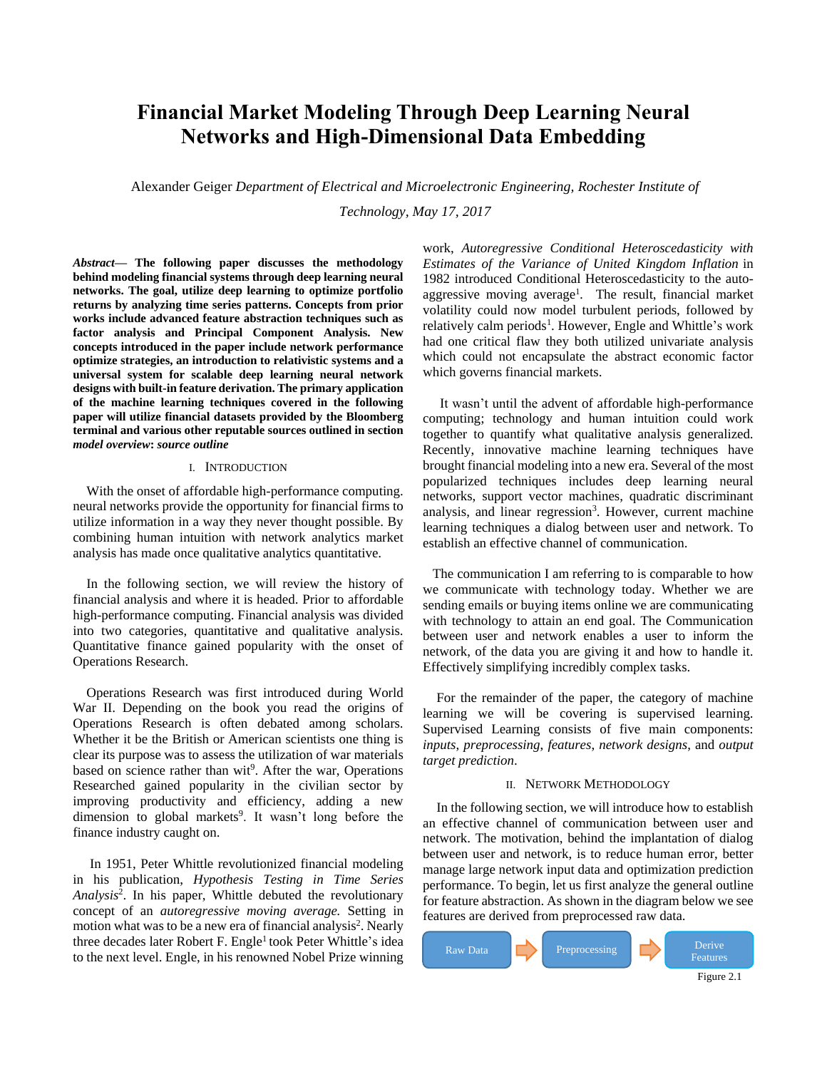# **Financial Market Modeling Through Deep Learning Neural Networks and High-Dimensional Data Embedding**

Alexander Geiger *Department of Electrical and Microelectronic Engineering, Rochester Institute of* 

*Technology, May 17, 2017*

*Abstract***— The following paper discusses the methodology behind modeling financial systems through deep learning neural networks. The goal, utilize deep learning to optimize portfolio returns by analyzing time series patterns. Concepts from prior works include advanced feature abstraction techniques such as factor analysis and Principal Component Analysis. New concepts introduced in the paper include network performance optimize strategies, an introduction to relativistic systems and a universal system for scalable deep learning neural network designs with built-in feature derivation. The primary application of the machine learning techniques covered in the following paper will utilize financial datasets provided by the Bloomberg terminal and various other reputable sources outlined in section**  *model overview***:** *source outline*

# I. INTRODUCTION

With the onset of affordable high-performance computing. neural networks provide the opportunity for financial firms to utilize information in a way they never thought possible. By combining human intuition with network analytics market analysis has made once qualitative analytics quantitative.

In the following section, we will review the history of financial analysis and where it is headed. Prior to affordable high-performance computing. Financial analysis was divided into two categories, quantitative and qualitative analysis. Quantitative finance gained popularity with the onset of Operations Research.

Operations Research was first introduced during World War II. Depending on the book you read the origins of Operations Research is often debated among scholars. Whether it be the British or American scientists one thing is clear its purpose was to assess the utilization of war materials based on science rather than wit<sup>9</sup>. After the war, Operations Researched gained popularity in the civilian sector by improving productivity and efficiency, adding a new dimension to global markets<sup>9</sup>. It wasn't long before the finance industry caught on.

In 1951, Peter Whittle revolutionized financial modeling in his publication, *Hypothesis Testing in Time Series Analysis*<sup>2</sup> . In his paper, Whittle debuted the revolutionary concept of an *autoregressive moving average.* Setting in motion what was to be a new era of financial analysis<sup>2</sup>. Nearly three decades later Robert F. Engle<sup>1</sup> took Peter Whittle's idea to the next level. Engle, in his renowned Nobel Prize winning

work, *Autoregressive Conditional Heteroscedasticity with Estimates of the Variance of United Kingdom Inflation* in 1982 introduced Conditional Heteroscedasticity to the autoaggressive moving average<sup>1</sup>. The result, financial market volatility could now model turbulent periods, followed by relatively calm periods<sup>1</sup>. However, Engle and Whittle's work had one critical flaw they both utilized univariate analysis which could not encapsulate the abstract economic factor which governs financial markets.

It wasn't until the advent of affordable high-performance computing; technology and human intuition could work together to quantify what qualitative analysis generalized. Recently, innovative machine learning techniques have brought financial modeling into a new era. Several of the most popularized techniques includes deep learning neural networks, support vector machines, quadratic discriminant analysis, and linear regression<sup>3</sup>. However, current machine learning techniques a dialog between user and network. To establish an effective channel of communication.

The communication I am referring to is comparable to how we communicate with technology today. Whether we are sending emails or buying items online we are communicating with technology to attain an end goal. The Communication between user and network enables a user to inform the network, of the data you are giving it and how to handle it. Effectively simplifying incredibly complex tasks.

For the remainder of the paper, the category of machine learning we will be covering is supervised learning. Supervised Learning consists of five main components: *inputs*, *preprocessing*, *features*, *network designs*, and *output target prediction*.

## II. NETWORK METHODOLOGY

In the following section, we will introduce how to establish an effective channel of communication between user and network. The motivation, behind the implantation of dialog between user and network, is to reduce human error, better manage large network input data and optimization prediction performance. To begin, let us first analyze the general outline for feature abstraction. As shown in the diagram below we see features are derived from preprocessed raw data.

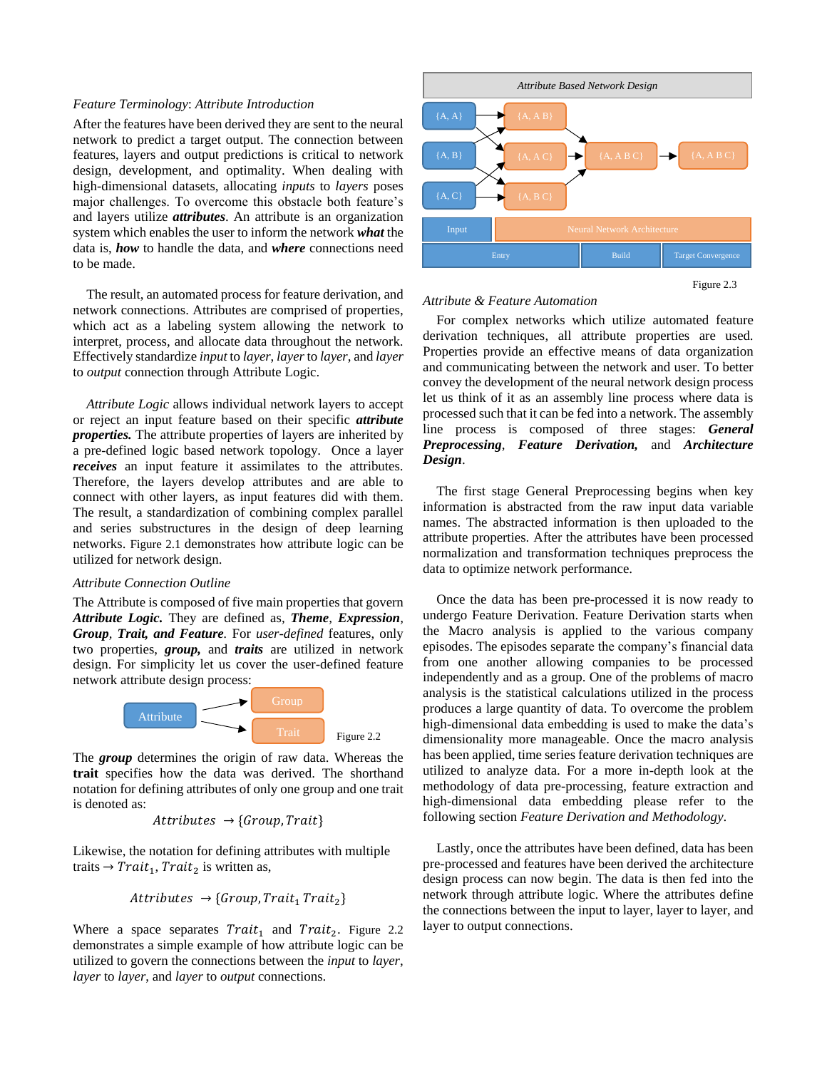# *Feature Terminology*: *Attribute Introduction*

After the features have been derived they are sent to the neural network to predict a target output. The connection between features, layers and output predictions is critical to network design, development, and optimality. When dealing with high-dimensional datasets, allocating *inputs* to *layers* poses major challenges. To overcome this obstacle both feature's and layers utilize *attributes*. An attribute is an organization system which enables the user to inform the network *what* the data is, *how* to handle the data, and *where* connections need to be made.

The result, an automated process for feature derivation, and network connections. Attributes are comprised of properties, which act as a labeling system allowing the network to interpret, process, and allocate data throughout the network. Effectively standardize *input* to *layer*, *layer*to *layer*, and *layer* to *output* connection through Attribute Logic.

*Attribute Logic* allows individual network layers to accept or reject an input feature based on their specific *attribute properties.* The attribute properties of layers are inherited by a pre-defined logic based network topology. Once a layer *receives* an input feature it assimilates to the attributes. Therefore, the layers develop attributes and are able to connect with other layers, as input features did with them. The result, a standardization of combining complex parallel and series substructures in the design of deep learning networks. Figure 2.1 demonstrates how attribute logic can be utilized for network design.

# *Attribute Connection Outline*

The Attribute is composed of five main properties that govern *Attribute Logic.* They are defined as*, Theme, Expression, Group, Trait, and Feature.* For *user-defined* features, only two properties, *group,* and *traits* are utilized in network design. For simplicity let us cover the user-defined feature network attribute design process:



The *group* determines the origin of raw data. Whereas the **trait** specifies how the data was derived. The shorthand notation for defining attributes of only one group and one trait is denoted as:

$$
Attributes \rightarrow \{Group, trait\}
$$

Likewise, the notation for defining attributes with multiple traits  $\rightarrow Trait_1$ , Trait<sub>2</sub> is written as,

$$
Attributes \rightarrow \{Group, Trait_1\,Trait_2\}
$$

Where a space separates  $Train_1$  and  $Train_2$ . Figure 2.2 demonstrates a simple example of how attribute logic can be utilized to govern the connections between the *input* to *layer*, *layer* to *layer*, and *layer* to *output* connections.



Figure 2.3

#### *Attribute & Feature Automation*

For complex networks which utilize automated feature derivation techniques, all attribute properties are used. Properties provide an effective means of data organization and communicating between the network and user. To better convey the development of the neural network design process let us think of it as an assembly line process where data is processed such that it can be fed into a network. The assembly line process is composed of three stages: *General Preprocessing*, *Feature Derivation,* and *Architecture Design*.

The first stage General Preprocessing begins when key information is abstracted from the raw input data variable names. The abstracted information is then uploaded to the attribute properties. After the attributes have been processed normalization and transformation techniques preprocess the data to optimize network performance.

Once the data has been pre-processed it is now ready to undergo Feature Derivation. Feature Derivation starts when the Macro analysis is applied to the various company episodes. The episodes separate the company's financial data from one another allowing companies to be processed independently and as a group. One of the problems of macro analysis is the statistical calculations utilized in the process produces a large quantity of data. To overcome the problem high-dimensional data embedding is used to make the data's dimensionality more manageable. Once the macro analysis has been applied, time series feature derivation techniques are utilized to analyze data. For a more in-depth look at the methodology of data pre-processing, feature extraction and high-dimensional data embedding please refer to the following section *Feature Derivation and Methodology*.

Lastly, once the attributes have been defined, data has been pre-processed and features have been derived the architecture design process can now begin. The data is then fed into the network through attribute logic. Where the attributes define the connections between the input to layer, layer to layer, and layer to output connections.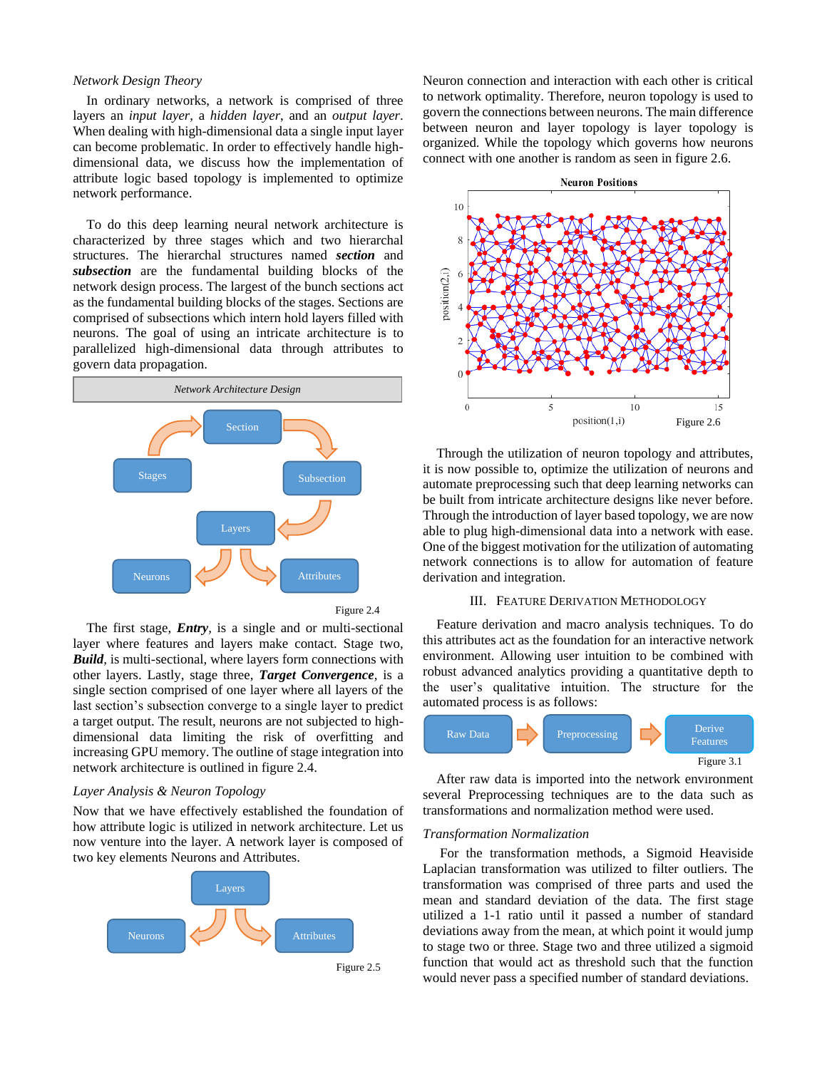# *Network Design Theory*

In ordinary networks, a network is comprised of three layers an *input layer*, a *hidden layer*, and an *output layer*. When dealing with high-dimensional data a single input layer can become problematic. In order to effectively handle highdimensional data, we discuss how the implementation of attribute logic based topology is implemented to optimize network performance.

To do this deep learning neural network architecture is characterized by three stages which and two hierarchal structures. The hierarchal structures named *section* and *subsection* are the fundamental building blocks of the network design process. The largest of the bunch sections act as the fundamental building blocks of the stages. Sections are comprised of subsections which intern hold layers filled with neurons. The goal of using an intricate architecture is to parallelized high-dimensional data through attributes to govern data propagation.



Figure 2.4

The first stage, *Entry,* is a single and or multi-sectional layer where features and layers make contact. Stage two, *Build,* is multi-sectional, where layers form connections with other layers. Lastly, stage three, *Target Convergence,* is a single section comprised of one layer where all layers of the last section's subsection converge to a single layer to predict a target output. The result, neurons are not subjected to highdimensional data limiting the risk of overfitting and increasing GPU memory. The outline of stage integration into network architecture is outlined in figure 2.4.

# *Layer Analysis & Neuron Topology*

Now that we have effectively established the foundation of how attribute logic is utilized in network architecture. Let us now venture into the layer. A network layer is composed of two key elements Neurons and Attributes.



Neuron connection and interaction with each other is critical to network optimality. Therefore, neuron topology is used to govern the connections between neurons. The main difference between neuron and layer topology is layer topology is organized. While the topology which governs how neurons connect with one another is random as seen in figure 2.6.



Through the utilization of neuron topology and attributes, it is now possible to, optimize the utilization of neurons and automate preprocessing such that deep learning networks can be built from intricate architecture designs like never before. Through the introduction of layer based topology, we are now able to plug high-dimensional data into a network with ease. One of the biggest motivation for the utilization of automating network connections is to allow for automation of feature derivation and integration.

#### III. FEATURE DERIVATION METHODOLOGY

Feature derivation and macro analysis techniques. To do this attributes act as the foundation for an interactive network environment. Allowing user intuition to be combined with robust advanced analytics providing a quantitative depth to the user's qualitative intuition. The structure for the automated process is as follows:



After raw data is imported into the network environment several Preprocessing techniques are to the data such as transformations and normalization method were used.

# *Transformation Normalization*

For the transformation methods, a Sigmoid Heaviside Laplacian transformation was utilized to filter outliers. The transformation was comprised of three parts and used the mean and standard deviation of the data. The first stage utilized a 1-1 ratio until it passed a number of standard deviations away from the mean, at which point it would jump to stage two or three. Stage two and three utilized a sigmoid function that would act as threshold such that the function would never pass a specified number of standard deviations.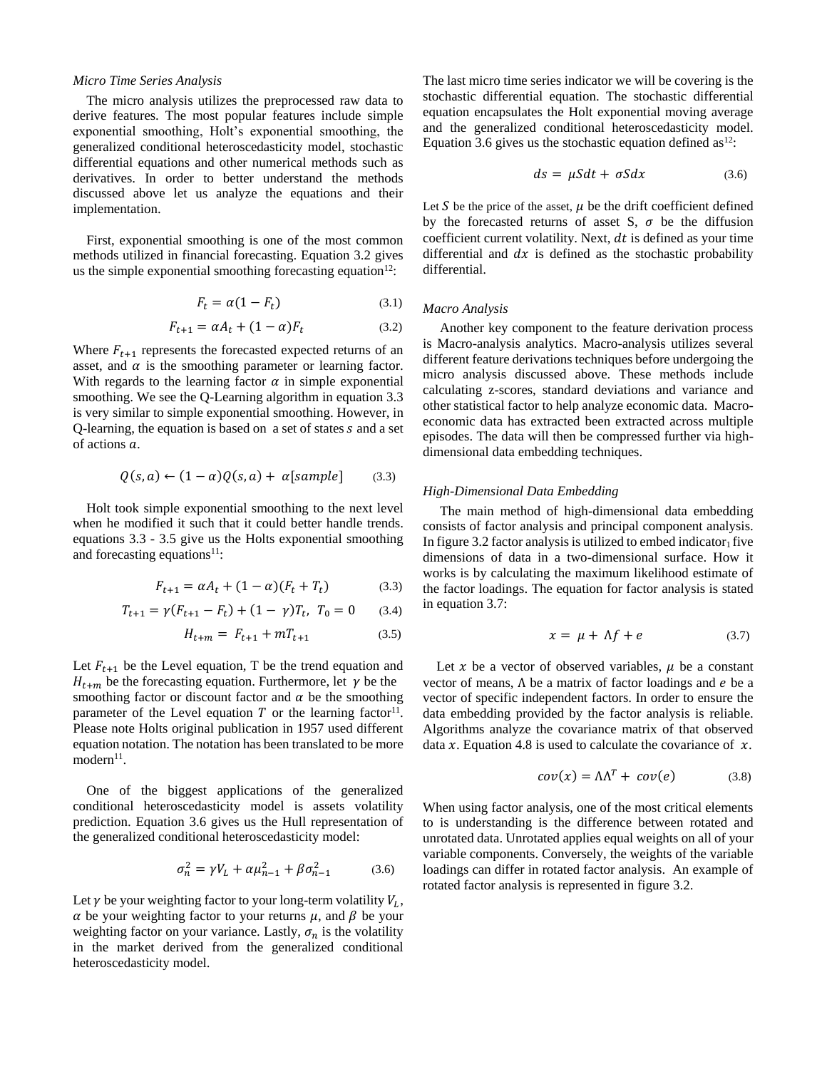## *Micro Time Series Analysis*

The micro analysis utilizes the preprocessed raw data to derive features. The most popular features include simple exponential smoothing, Holt's exponential smoothing, the generalized conditional heteroscedasticity model, stochastic differential equations and other numerical methods such as derivatives. In order to better understand the methods discussed above let us analyze the equations and their implementation.

First, exponential smoothing is one of the most common methods utilized in financial forecasting. Equation 3.2 gives us the simple exponential smoothing forecasting equation<sup>12</sup>:

$$
F_t = \alpha (1 - F_t) \tag{3.1}
$$

$$
F_{t+1} = \alpha A_t + (1 - \alpha) F_t \tag{3.2}
$$

Where  $F_{t+1}$  represents the forecasted expected returns of an asset, and  $\alpha$  is the smoothing parameter or learning factor. With regards to the learning factor  $\alpha$  in simple exponential smoothing. We see the Q-Learning algorithm in equation 3.3 is very similar to simple exponential smoothing. However, in Q-learning, the equation is based on  $a$  set of states  $s$  and  $a$  set of actions  $a$ .

$$
Q(s, a) \leftarrow (1 - \alpha)Q(s, a) + \alpha[sample]
$$
 (3.3)

Holt took simple exponential smoothing to the next level when he modified it such that it could better handle trends. equations 3.3 - 3.5 give us the Holts exponential smoothing and forecasting equations<sup>11</sup>:

$$
F_{t+1} = \alpha A_t + (1 - \alpha)(F_t + T_t)
$$
 (3.3)

$$
T_{t+1} = \gamma (F_{t+1} - F_t) + (1 - \gamma) T_t, \ T_0 = 0 \tag{3.4}
$$

$$
H_{t+m} = F_{t+1} + mT_{t+1} \tag{3.5}
$$

Let  $F_{t+1}$  be the Level equation, T be the trend equation and  $H_{t+m}$  be the forecasting equation. Furthermore, let  $\gamma$  be the smoothing factor or discount factor and  $\alpha$  be the smoothing parameter of the Level equation  $T$  or the learning factor<sup>11</sup>. Please note Holts original publication in 1957 used different equation notation. The notation has been translated to be more modern<sup>11</sup>.

One of the biggest applications of the generalized conditional heteroscedasticity model is assets volatility prediction. Equation 3.6 gives us the Hull representation of the generalized conditional heteroscedasticity model:

$$
\sigma_n^2 = \gamma V_L + \alpha \mu_{n-1}^2 + \beta \sigma_{n-1}^2 \tag{3.6}
$$

Let  $\gamma$  be your weighting factor to your long-term volatility  $V_L$ ,  $\alpha$  be your weighting factor to your returns  $\mu$ , and  $\beta$  be your weighting factor on your variance. Lastly,  $\sigma_n$  is the volatility in the market derived from the generalized conditional heteroscedasticity model.

The last micro time series indicator we will be covering is the stochastic differential equation. The stochastic differential equation encapsulates the Holt exponential moving average and the generalized conditional heteroscedasticity model. Equation 3.6 gives us the stochastic equation defined as<sup>12</sup>:

$$
ds = \mu S dt + \sigma S dx \tag{3.6}
$$

Let S be the price of the asset,  $\mu$  be the drift coefficient defined by the forecasted returns of asset S,  $\sigma$  be the diffusion coefficient current volatility. Next,  $dt$  is defined as your time differential and  $dx$  is defined as the stochastic probability differential.

#### *Macro Analysis*

Another key component to the feature derivation process is Macro-analysis analytics. Macro-analysis utilizes several different feature derivations techniques before undergoing the micro analysis discussed above. These methods include calculating z-scores, standard deviations and variance and other statistical factor to help analyze economic data. Macroeconomic data has extracted been extracted across multiple episodes. The data will then be compressed further via highdimensional data embedding techniques.

# *High-Dimensional Data Embedding*

The main method of high-dimensional data embedding consists of factor analysis and principal component analysis. In figure 3.2 factor analysis is utilized to embed indicator<sub>1</sub> five dimensions of data in a two-dimensional surface. How it works is by calculating the maximum likelihood estimate of the factor loadings. The equation for factor analysis is stated in equation 3.7:

$$
x = \mu + \Lambda f + e \tag{3.7}
$$

Let  $x$  be a vector of observed variables,  $\mu$  be a constant vector of means,  $\Lambda$  be a matrix of factor loadings and  $e$  be a vector of specific independent factors. In order to ensure the data embedding provided by the factor analysis is reliable. Algorithms analyze the covariance matrix of that observed data x. Equation 4.8 is used to calculate the covariance of  $x$ .

$$
cov(x) = \Lambda \Lambda^T + cov(e) \tag{3.8}
$$

When using factor analysis, one of the most critical elements to is understanding is the difference between rotated and unrotated data. Unrotated applies equal weights on all of your variable components. Conversely, the weights of the variable loadings can differ in rotated factor analysis. An example of rotated factor analysis is represented in figure 3.2.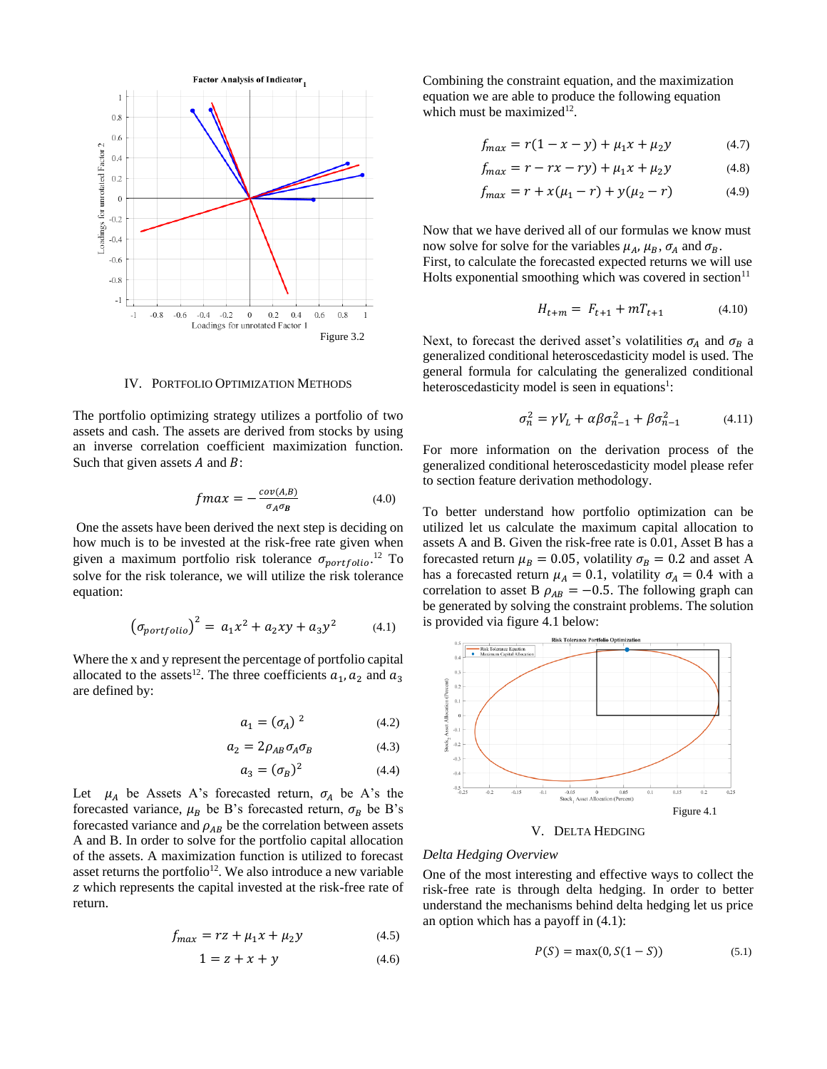

IV. PORTFOLIO OPTIMIZATION METHODS

The portfolio optimizing strategy utilizes a portfolio of two assets and cash. The assets are derived from stocks by using an inverse correlation coefficient maximization function. Such that given assets  $A$  and  $B$ :

$$
f \, max = -\frac{cov(A,B)}{\sigma_A \sigma_B} \tag{4.0}
$$

One the assets have been derived the next step is deciding on how much is to be invested at the risk-free rate given when given a maximum portfolio risk tolerance  $\sigma_{portfolio}$ .<sup>12</sup> To solve for the risk tolerance, we will utilize the risk tolerance equation:

$$
\left(\sigma_{portfolio}\right)^2 = a_1 x^2 + a_2 xy + a_3 y^2 \tag{4.1}
$$

Where the x and y represent the percentage of portfolio capital allocated to the assets<sup>12</sup>. The three coefficients  $a_1, a_2$  and  $a_3$ are defined by:

$$
a_1 = (\sigma_A)^2 \tag{4.2}
$$

$$
a_2 = 2\rho_{AB}\sigma_A\sigma_B \tag{4.3}
$$

$$
a_3 = (\sigma_B)^2 \tag{4.4}
$$

Let  $\mu_A$  be Assets A's forecasted return,  $\sigma_A$  be A's the forecasted variance,  $\mu_B$  be B's forecasted return,  $\sigma_B$  be B's forecasted variance and  $\rho_{AB}$  be the correlation between assets A and B. In order to solve for the portfolio capital allocation of the assets. A maximization function is utilized to forecast asset returns the portfolio<sup>12</sup>. We also introduce a new variable z which represents the capital invested at the risk-free rate of return.

$$
f_{max} = rz + \mu_1 x + \mu_2 y \tag{4.5}
$$

$$
1 = z + x + y \tag{4.6}
$$

Combining the constraint equation, and the maximization equation we are able to produce the following equation which must be maximized $12$ .

$$
f_{max} = r(1 - x - y) + \mu_1 x + \mu_2 y \tag{4.7}
$$

$$
f_{max} = r - rx - ry) + \mu_1 x + \mu_2 y \tag{4.8}
$$

$$
f_{max} = r + x(\mu_1 - r) + y(\mu_2 - r) \tag{4.9}
$$

Now that we have derived all of our formulas we know must now solve for solve for the variables  $\mu_A$ ,  $\mu_B$ ,  $\sigma_A$  and  $\sigma_B$ . First, to calculate the forecasted expected returns we will use

Holts exponential smoothing which was covered in section $11$ 

$$
H_{t+m} = F_{t+1} + mT_{t+1} \tag{4.10}
$$

Next, to forecast the derived asset's volatilities  $\sigma_A$  and  $\sigma_B$  a generalized conditional heteroscedasticity model is used. The general formula for calculating the generalized conditional heteroscedasticity model is seen in equations<sup>1</sup>:

$$
\sigma_n^2 = \gamma V_L + \alpha \beta \sigma_{n-1}^2 + \beta \sigma_{n-1}^2 \tag{4.11}
$$

For more information on the derivation process of the generalized conditional heteroscedasticity model please refer to section feature derivation methodology.

To better understand how portfolio optimization can be utilized let us calculate the maximum capital allocation to assets A and B. Given the risk-free rate is 0.01, Asset B has a forecasted return  $\mu_B = 0.05$ , volatility  $\sigma_B = 0.2$  and asset A has a forecasted return  $\mu_A = 0.1$ , volatility  $\sigma_A = 0.4$  with a correlation to asset B  $\rho_{AB} = -0.5$ . The following graph can be generated by solving the constraint problems. The solution is provided via figure 4.1 below:



#### *Delta Hedging Overview*

One of the most interesting and effective ways to collect the risk-free rate is through delta hedging. In order to better understand the mechanisms behind delta hedging let us price an option which has a payoff in (4.1):

$$
P(S) = \max(0, S(1 - S))
$$
 (5.1)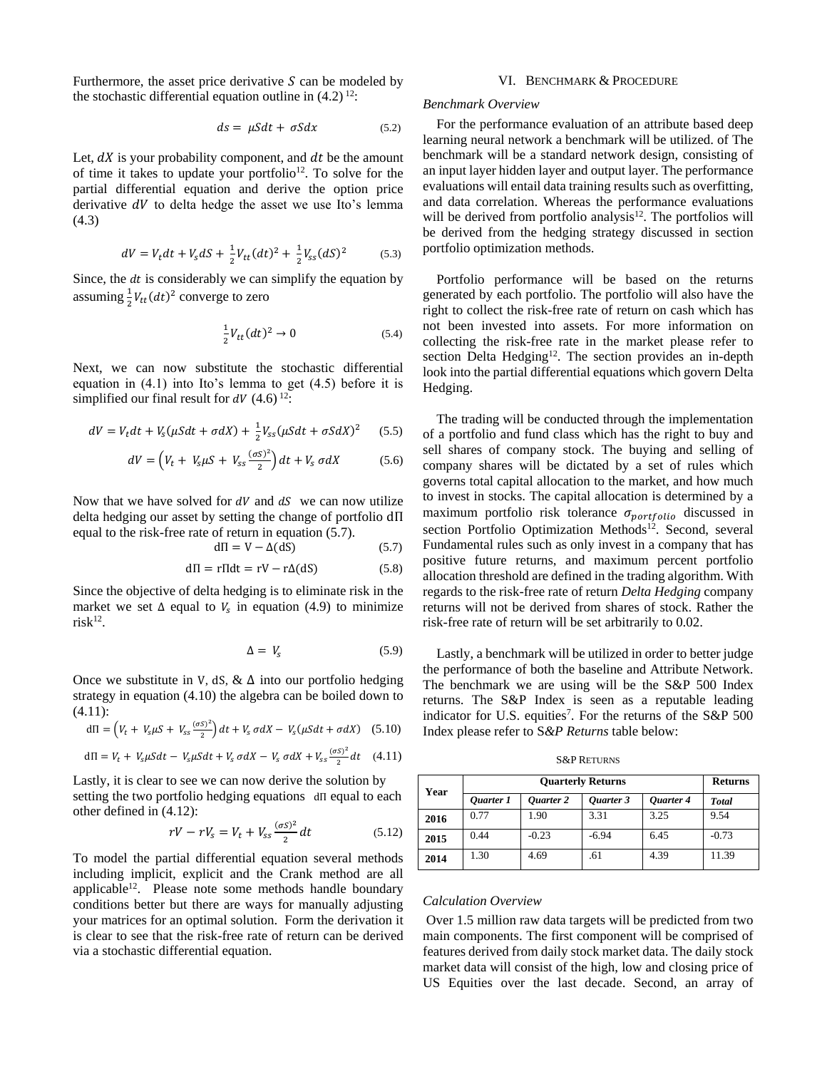Furthermore, the asset price derivative  $S$  can be modeled by the stochastic differential equation outline in  $(4.2)$ <sup>12</sup>:

$$
ds = \mu S dt + \sigma S dx \tag{5.2}
$$

Let,  $dX$  is your probability component, and  $dt$  be the amount of time it takes to update your portfolio<sup>12</sup>. To solve for the partial differential equation and derive the option price derivative  $dV$  to delta hedge the asset we use Ito's lemma (4.3)

$$
dV = V_t dt + V_s dS + \frac{1}{2} V_{tt} (dt)^2 + \frac{1}{2} V_{ss} (dS)^2
$$
 (5.3)

Since, the  $dt$  is considerably we can simplify the equation by assuming  $\frac{1}{2}V_{tt}(dt)^2$  converge to zero

$$
\frac{1}{2}V_{tt}(dt)^2 \to 0 \tag{5.4}
$$

Next, we can now substitute the stochastic differential equation in (4.1) into Ito's lemma to get (4.5) before it is simplified our final result for  $dV$  (4.6) <sup>12</sup>:

$$
dV = V_t dt + V_s(\mu S dt + \sigma dX) + \frac{1}{2}V_{ss}(\mu S dt + \sigma S dX)^2
$$
 (5.5)

$$
dV = \left(V_t + V_s\mu S + V_{ss}\frac{(\sigma S)^2}{2}\right)dt + V_s \sigma dX\tag{5.6}
$$

Now that we have solved for  $dV$  and  $dS$  we can now utilize delta hedging our asset by setting the change of portfolio dΠ equal to the risk-free rate of return in equation (5.7).

$$
d\Pi = V - \Delta(dS) \tag{5.7}
$$

$$
d\Pi = r\Pi dt = rV - r\Delta(dS)
$$
 (5.8)

Since the objective of delta hedging is to eliminate risk in the market we set  $\Delta$  equal to  $V_s$  in equation (4.9) to minimize  $\mathrm{risk}^{12}.$ 

$$
\Delta = V_s \tag{5.9}
$$

Once we substitute in V, dS,  $\&$   $\Delta$  into our portfolio hedging strategy in equation (4.10) the algebra can be boiled down to (4.11):

$$
d\Pi = \left(V_t + V_s\mu S + V_{ss}\frac{(\sigma S)^2}{2}\right)dt + V_s\,\sigma dX - V_s(\mu S dt + \sigma dX) \quad (5.10)
$$

$$
d\Pi = V_t + V_s \mu S dt - V_s \mu S dt + V_s \sigma dX - V_s \sigma dX + V_{ss} \frac{(\sigma S)^2}{2} dt \quad (4.11)
$$

Lastly, it is clear to see we can now derive the solution by setting the two portfolio hedging equations dΠ equal to each other defined in (4.12):

$$
rV - rV_s = V_t + V_{ss} \frac{(\sigma s)^2}{2} dt \tag{5.12}
$$

To model the partial differential equation several methods including implicit, explicit and the Crank method are all applicable<sup>12</sup>. Please note some methods handle boundary conditions better but there are ways for manually adjusting your matrices for an optimal solution. Form the derivation it is clear to see that the risk-free rate of return can be derived via a stochastic differential equation.

#### VI. BENCHMARK & PROCEDURE

#### *Benchmark Overview*

For the performance evaluation of an attribute based deep learning neural network a benchmark will be utilized. of The benchmark will be a standard network design, consisting of an input layer hidden layer and output layer. The performance evaluations will entail data training results such as overfitting, and data correlation. Whereas the performance evaluations will be derived from portfolio analysis $12$ . The portfolios will be derived from the hedging strategy discussed in section portfolio optimization methods.

Portfolio performance will be based on the returns generated by each portfolio. The portfolio will also have the right to collect the risk-free rate of return on cash which has not been invested into assets. For more information on collecting the risk-free rate in the market please refer to section Delta Hedging<sup>12</sup>. The section provides an in-depth look into the partial differential equations which govern Delta Hedging.

The trading will be conducted through the implementation of a portfolio and fund class which has the right to buy and sell shares of company stock. The buying and selling of company shares will be dictated by a set of rules which governs total capital allocation to the market, and how much to invest in stocks. The capital allocation is determined by a maximum portfolio risk tolerance  $\sigma_{portfolio}$  discussed in section Portfolio Optimization Methods<sup>12</sup>. Second, several Fundamental rules such as only invest in a company that has positive future returns, and maximum percent portfolio allocation threshold are defined in the trading algorithm. With regards to the risk-free rate of return *Delta Hedging* company returns will not be derived from shares of stock. Rather the risk-free rate of return will be set arbitrarily to 0.02.

Lastly, a benchmark will be utilized in order to better judge the performance of both the baseline and Attribute Network. The benchmark we are using will be the S&P 500 Index returns. The S&P Index is seen as a reputable leading indicator for U.S. equities<sup>7</sup>. For the returns of the S&P 500 Index please refer to S*&P Returns* table below:

S&P RETURNS

| Year      | <b>Ouarterly Returns</b> |           |           |           | <b>Returns</b> |
|-----------|--------------------------|-----------|-----------|-----------|----------------|
| Ouarter 1 |                          | Ouarter 2 | Ouarter 3 | Ouarter 4 | <b>Total</b>   |
| 2016      | 0.77                     | 1.90      | 3.31      | 3.25      | 9.54           |
| 2015      | 0.44                     | $-0.23$   | $-6.94$   | 6.45      | $-0.73$        |
| 2014      | 1.30                     | 4.69      | .61       | 4.39      | 11.39          |

#### *Calculation Overview*

Over 1.5 million raw data targets will be predicted from two main components. The first component will be comprised of features derived from daily stock market data. The daily stock market data will consist of the high, low and closing price of US Equities over the last decade. Second, an array of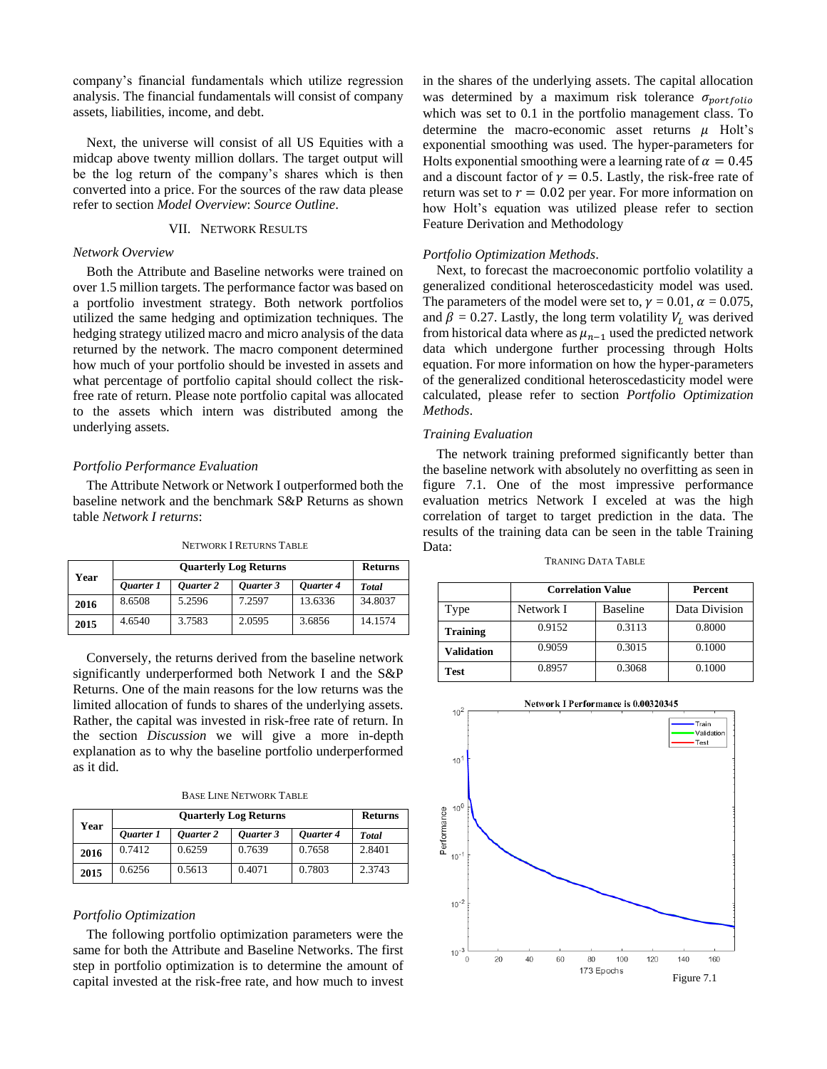company's financial fundamentals which utilize regression analysis. The financial fundamentals will consist of company assets, liabilities, income, and debt.

Next, the universe will consist of all US Equities with a midcap above twenty million dollars. The target output will be the log return of the company's shares which is then converted into a price. For the sources of the raw data please refer to section *Model Overview*: *Source Outline*.

# VII. NETWORK RESULTS

# *Network Overview*

Both the Attribute and Baseline networks were trained on over 1.5 million targets. The performance factor was based on a portfolio investment strategy. Both network portfolios utilized the same hedging and optimization techniques. The hedging strategy utilized macro and micro analysis of the data returned by the network. The macro component determined how much of your portfolio should be invested in assets and what percentage of portfolio capital should collect the riskfree rate of return. Please note portfolio capital was allocated to the assets which intern was distributed among the underlying assets.

## *Portfolio Performance Evaluation*

The Attribute Network or Network I outperformed both the baseline network and the benchmark S&P Returns as shown table *Network I returns*:

NETWORK I RETURNS TABLE

| Year |           | <b>Returns</b> |           |           |              |
|------|-----------|----------------|-----------|-----------|--------------|
|      | Ouarter 1 | Ouarter 2      | Ouarter 3 | Ouarter 4 | <b>Total</b> |
| 2016 | 8.6508    | 5.2596         | 7.2597    | 13.6336   | 34.8037      |
| 2015 | 4.6540    | 3.7583         | 2.0595    | 3.6856    | 14.1574      |

Conversely, the returns derived from the baseline network significantly underperformed both Network I and the S&P Returns. One of the main reasons for the low returns was the limited allocation of funds to shares of the underlying assets. Rather, the capital was invested in risk-free rate of return. In the section *Discussion* we will give a more in-depth explanation as to why the baseline portfolio underperformed as it did.

BASE LINE NETWORK TABLE

| Year | <b>Quarterly Log Returns</b> |           |           | <b>Returns</b> |              |
|------|------------------------------|-----------|-----------|----------------|--------------|
|      | Ouarter 1                    | Ouarter 2 | Ouarter 3 | Ouarter 4      | <b>Total</b> |
| 2016 | 0.7412                       | 0.6259    | 0.7639    | 0.7658         | 2.8401       |
| 2015 | 0.6256                       | 0.5613    | 0.4071    | 0.7803         | 2.3743       |

#### *Portfolio Optimization*

The following portfolio optimization parameters were the same for both the Attribute and Baseline Networks. The first step in portfolio optimization is to determine the amount of capital invested at the risk-free rate, and how much to invest in the shares of the underlying assets. The capital allocation was determined by a maximum risk tolerance  $\sigma_{portfolio}$ which was set to 0.1 in the portfolio management class. To determine the macro-economic asset returns  $\mu$  Holt's exponential smoothing was used. The hyper-parameters for Holts exponential smoothing were a learning rate of  $\alpha = 0.45$ and a discount factor of  $\gamma = 0.5$ . Lastly, the risk-free rate of return was set to  $r = 0.02$  per year. For more information on how Holt's equation was utilized please refer to section Feature Derivation and Methodology

#### *Portfolio Optimization Methods*.

Next, to forecast the macroeconomic portfolio volatility a generalized conditional heteroscedasticity model was used. The parameters of the model were set to,  $\gamma = 0.01$ ,  $\alpha = 0.075$ , and  $\beta = 0.27$ . Lastly, the long term volatility  $V_L$  was derived from historical data where as  $\mu_{n-1}$  used the predicted network data which undergone further processing through Holts equation. For more information on how the hyper-parameters of the generalized conditional heteroscedasticity model were calculated, please refer to section *Portfolio Optimization Methods*.

#### *Training Evaluation*

The network training preformed significantly better than the baseline network with absolutely no overfitting as seen in figure 7.1. One of the most impressive performance evaluation metrics Network I exceled at was the high correlation of target to target prediction in the data. The results of the training data can be seen in the table Training Data:

| TRANING DATA TABLE |
|--------------------|
|--------------------|

|                 | <b>Correlation Value</b> |                 | Percent       |
|-----------------|--------------------------|-----------------|---------------|
| Type            | Network I                | <b>Baseline</b> | Data Division |
| <b>Training</b> | 0.9152                   | 0.3113          | 0.8000        |
| Validation      | 0.9059                   | 0.3015          | 0.1000        |
| Test            | 0.8957                   | 0.3068          | 0.1000        |

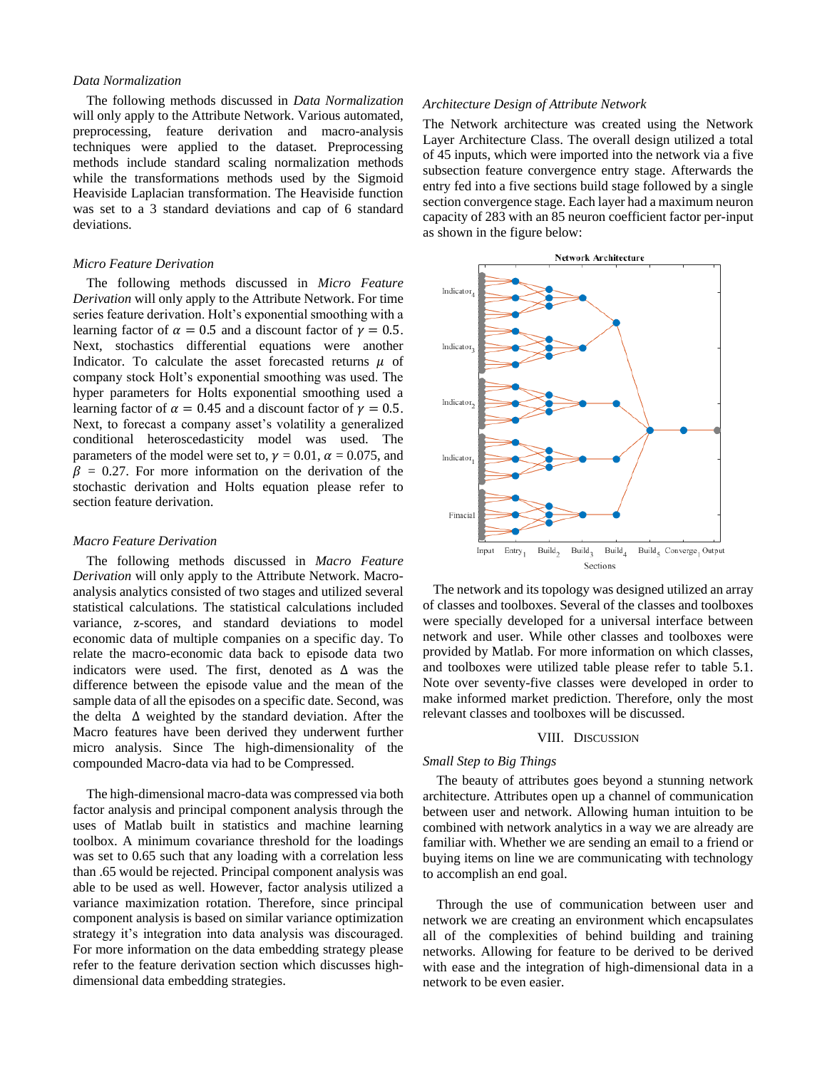# *Data Normalization*

The following methods discussed in *Data Normalization*  will only apply to the Attribute Network. Various automated, preprocessing, feature derivation and macro-analysis techniques were applied to the dataset. Preprocessing methods include standard scaling normalization methods while the transformations methods used by the Sigmoid Heaviside Laplacian transformation. The Heaviside function was set to a 3 standard deviations and cap of 6 standard deviations.

## *Micro Feature Derivation*

The following methods discussed in *Micro Feature Derivation* will only apply to the Attribute Network. For time series feature derivation. Holt's exponential smoothing with a learning factor of  $\alpha = 0.5$  and a discount factor of  $\gamma = 0.5$ . Next, stochastics differential equations were another Indicator. To calculate the asset forecasted returns  $\mu$  of company stock Holt's exponential smoothing was used. The hyper parameters for Holts exponential smoothing used a learning factor of  $\alpha = 0.45$  and a discount factor of  $\gamma = 0.5$ . Next, to forecast a company asset's volatility a generalized conditional heteroscedasticity model was used. The parameters of the model were set to,  $\gamma = 0.01$ ,  $\alpha = 0.075$ , and  $\beta$  = 0.27. For more information on the derivation of the stochastic derivation and Holts equation please refer to section feature derivation.

## *Macro Feature Derivation*

The following methods discussed in *Macro Feature Derivation* will only apply to the Attribute Network. Macroanalysis analytics consisted of two stages and utilized several statistical calculations. The statistical calculations included variance, z-scores, and standard deviations to model economic data of multiple companies on a specific day. To relate the macro-economic data back to episode data two indicators were used. The first, denoted as ∆ was the difference between the episode value and the mean of the sample data of all the episodes on a specific date. Second, was the delta ∆ weighted by the standard deviation. After the Macro features have been derived they underwent further micro analysis. Since The high-dimensionality of the compounded Macro-data via had to be Compressed.

The high-dimensional macro-data was compressed via both factor analysis and principal component analysis through the uses of Matlab built in statistics and machine learning toolbox. A minimum covariance threshold for the loadings was set to 0.65 such that any loading with a correlation less than .65 would be rejected. Principal component analysis was able to be used as well. However, factor analysis utilized a variance maximization rotation. Therefore, since principal component analysis is based on similar variance optimization strategy it's integration into data analysis was discouraged. For more information on the data embedding strategy please refer to the feature derivation section which discusses highdimensional data embedding strategies.

## *Architecture Design of Attribute Network*

The Network architecture was created using the Network Layer Architecture Class. The overall design utilized a total of 45 inputs, which were imported into the network via a five subsection feature convergence entry stage. Afterwards the entry fed into a five sections build stage followed by a single section convergence stage. Each layer had a maximum neuron capacity of 283 with an 85 neuron coefficient factor per-input as shown in the figure below:



The network and its topology was designed utilized an array of classes and toolboxes. Several of the classes and toolboxes were specially developed for a universal interface between network and user. While other classes and toolboxes were provided by Matlab. For more information on which classes, and toolboxes were utilized table please refer to table 5.1. Note over seventy-five classes were developed in order to make informed market prediction. Therefore, only the most relevant classes and toolboxes will be discussed.

#### VIII. DISCUSSION

#### *Small Step to Big Things*

The beauty of attributes goes beyond a stunning network architecture. Attributes open up a channel of communication between user and network. Allowing human intuition to be combined with network analytics in a way we are already are familiar with. Whether we are sending an email to a friend or buying items on line we are communicating with technology to accomplish an end goal.

Through the use of communication between user and network we are creating an environment which encapsulates all of the complexities of behind building and training networks. Allowing for feature to be derived to be derived with ease and the integration of high-dimensional data in a network to be even easier.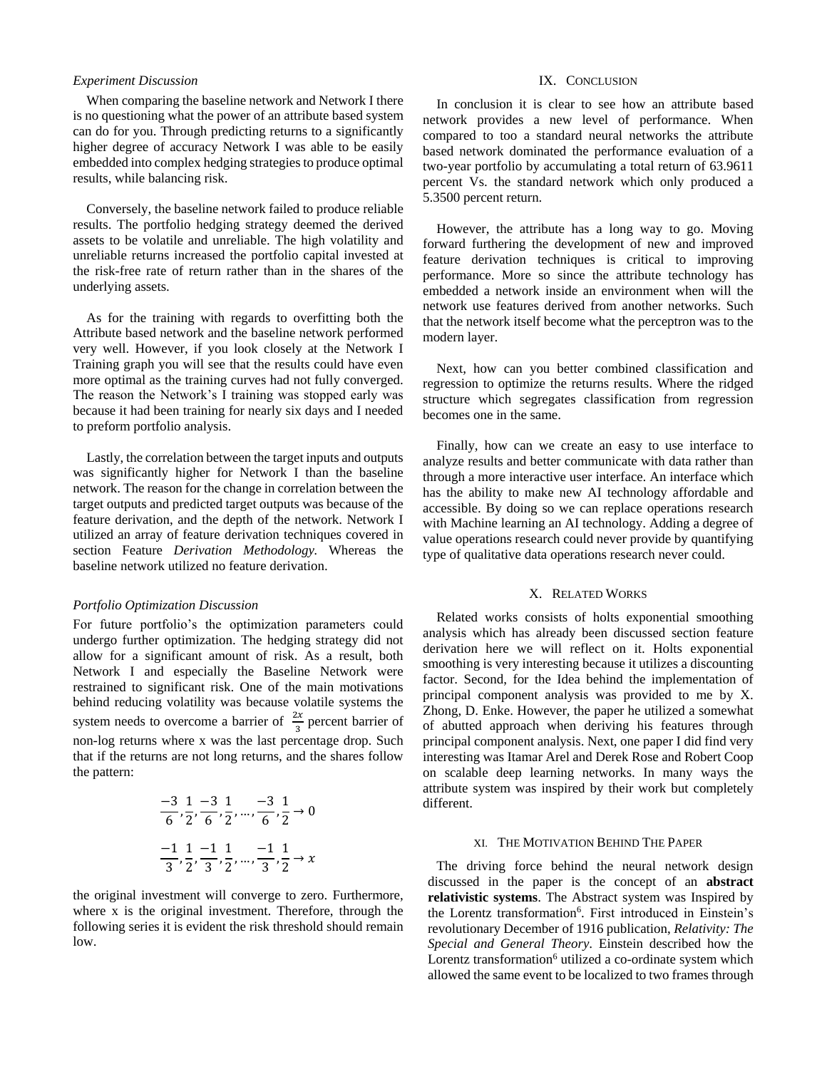# *Experiment Discussion*

When comparing the baseline network and Network I there is no questioning what the power of an attribute based system can do for you. Through predicting returns to a significantly higher degree of accuracy Network I was able to be easily embedded into complex hedging strategies to produce optimal results, while balancing risk.

Conversely, the baseline network failed to produce reliable results. The portfolio hedging strategy deemed the derived assets to be volatile and unreliable. The high volatility and unreliable returns increased the portfolio capital invested at the risk-free rate of return rather than in the shares of the underlying assets.

As for the training with regards to overfitting both the Attribute based network and the baseline network performed very well. However, if you look closely at the Network I Training graph you will see that the results could have even more optimal as the training curves had not fully converged. The reason the Network's I training was stopped early was because it had been training for nearly six days and I needed to preform portfolio analysis.

Lastly, the correlation between the target inputs and outputs was significantly higher for Network I than the baseline network. The reason for the change in correlation between the target outputs and predicted target outputs was because of the feature derivation, and the depth of the network. Network I utilized an array of feature derivation techniques covered in section Feature *Derivation Methodology.* Whereas the baseline network utilized no feature derivation.

#### *Portfolio Optimization Discussion*

For future portfolio's the optimization parameters could undergo further optimization. The hedging strategy did not allow for a significant amount of risk. As a result, both Network I and especially the Baseline Network were restrained to significant risk. One of the main motivations behind reducing volatility was because volatile systems the system needs to overcome a barrier of  $\frac{2x}{3}$  percent barrier of non-log returns where x was the last percentage drop. Such that if the returns are not long returns, and the shares follow the pattern:

$$
\frac{-3}{6}, \frac{1}{2}, \frac{-3}{6}, \frac{1}{2}, \dots, \frac{-3}{6}, \frac{1}{2} \to 0
$$
  

$$
\frac{-1}{3}, \frac{1}{2}, \frac{-1}{3}, \frac{1}{2}, \dots, \frac{-1}{3}, \frac{1}{2} \to x
$$

the original investment will converge to zero. Furthermore, where x is the original investment. Therefore, through the following series it is evident the risk threshold should remain low.

## IX. CONCLUSION

In conclusion it is clear to see how an attribute based network provides a new level of performance. When compared to too a standard neural networks the attribute based network dominated the performance evaluation of a two-year portfolio by accumulating a total return of 63.9611 percent Vs. the standard network which only produced a 5.3500 percent return.

However, the attribute has a long way to go. Moving forward furthering the development of new and improved feature derivation techniques is critical to improving performance. More so since the attribute technology has embedded a network inside an environment when will the network use features derived from another networks. Such that the network itself become what the perceptron was to the modern layer.

Next, how can you better combined classification and regression to optimize the returns results. Where the ridged structure which segregates classification from regression becomes one in the same.

Finally, how can we create an easy to use interface to analyze results and better communicate with data rather than through a more interactive user interface. An interface which has the ability to make new AI technology affordable and accessible. By doing so we can replace operations research with Machine learning an AI technology. Adding a degree of value operations research could never provide by quantifying type of qualitative data operations research never could.

## X. RELATED WORKS

Related works consists of holts exponential smoothing analysis which has already been discussed section feature derivation here we will reflect on it. Holts exponential smoothing is very interesting because it utilizes a discounting factor. Second, for the Idea behind the implementation of principal component analysis was provided to me by X. Zhong, D. Enke. However, the paper he utilized a somewhat of abutted approach when deriving his features through principal component analysis. Next, one paper I did find very interesting was Itamar Arel and Derek Rose and Robert Coop on scalable deep learning networks. In many ways the attribute system was inspired by their work but completely different.

## XI. THE MOTIVATION BEHIND THE PAPER

The driving force behind the neural network design discussed in the paper is the concept of an **abstract relativistic systems**. The Abstract system was Inspired by the Lorentz transformation<sup>6</sup>. First introduced in Einstein's revolutionary December of 1916 publication, *Relativity: The Special and General Theory*. Einstein described how the Lorentz transformation<sup>6</sup> utilized a co-ordinate system which allowed the same event to be localized to two frames through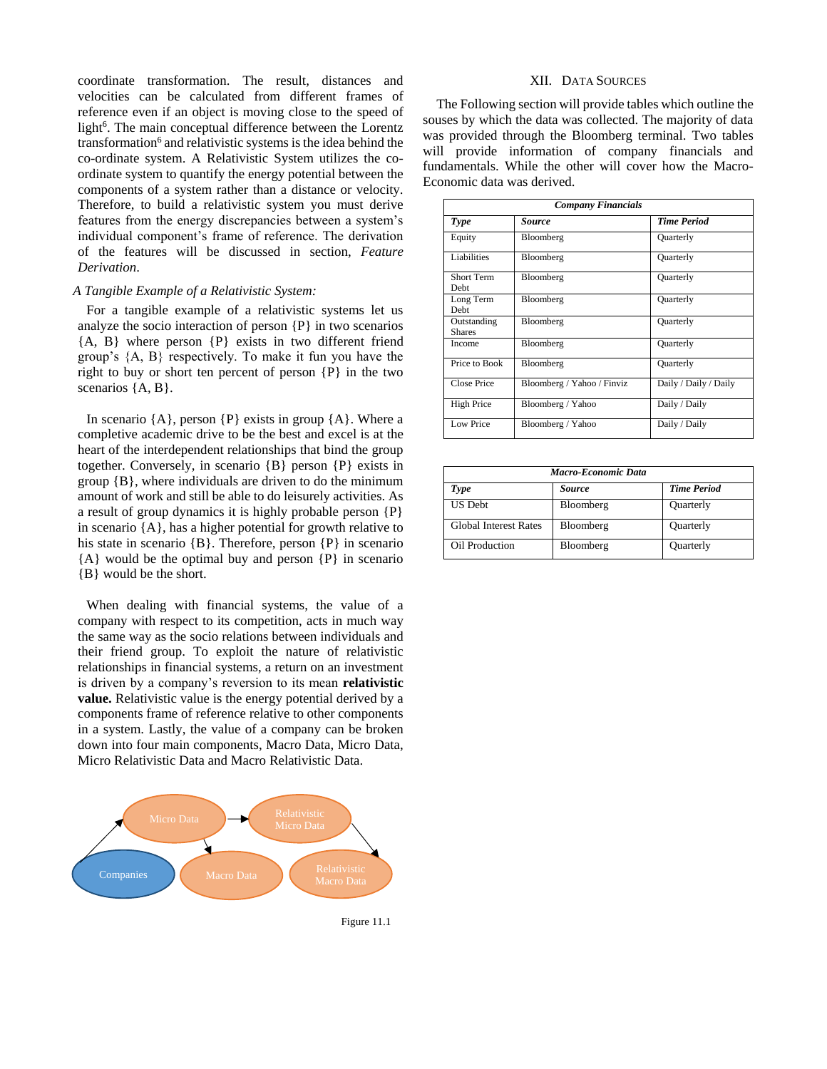coordinate transformation. The result, distances and velocities can be calculated from different frames of reference even if an object is moving close to the speed of light<sup>6</sup>. The main conceptual difference between the Lorentz transformation<sup>6</sup> and relativistic systems is the idea behind the co-ordinate system. A Relativistic System utilizes the coordinate system to quantify the energy potential between the components of a system rather than a distance or velocity. Therefore, to build a relativistic system you must derive features from the energy discrepancies between a system's individual component's frame of reference. The derivation of the features will be discussed in section, *Feature Derivation*.

# *A Tangible Example of a Relativistic System:*

For a tangible example of a relativistic systems let us analyze the socio interaction of person {P} in two scenarios {A, B} where person {P} exists in two different friend group's {A, B} respectively. To make it fun you have the right to buy or short ten percent of person {P} in the two scenarios  ${A, B}$ .

In scenario  ${A}$ , person  ${P}$  exists in group  ${A}$ . Where a completive academic drive to be the best and excel is at the heart of the interdependent relationships that bind the group together. Conversely, in scenario {B} person {P} exists in group  ${B}$ , where individuals are driven to do the minimum amount of work and still be able to do leisurely activities. As a result of group dynamics it is highly probable person {P} in scenario {A}, has a higher potential for growth relative to his state in scenario  ${B}$ . Therefore, person  ${P}$  in scenario {A} would be the optimal buy and person {P} in scenario {B} would be the short.

When dealing with financial systems, the value of a company with respect to its competition, acts in much way the same way as the socio relations between individuals and their friend group. To exploit the nature of relativistic relationships in financial systems, a return on an investment is driven by a company's reversion to its mean **relativistic value.** Relativistic value is the energy potential derived by a components frame of reference relative to other components in a system. Lastly, the value of a company can be broken down into four main components, Macro Data, Micro Data, Micro Relativistic Data and Macro Relativistic Data.



Figure 11.1

#### XII. DATA SOURCES

The Following section will provide tables which outline the souses by which the data was collected. The majority of data was provided through the Bloomberg terminal. Two tables will provide information of company financials and fundamentals. While the other will cover how the Macro-Economic data was derived.

| <b>Company Financials</b>    |                            |                       |  |
|------------------------------|----------------------------|-----------------------|--|
| Type                         | <i>Source</i>              | <b>Time Period</b>    |  |
| Equity                       | Bloomberg                  | Quarterly             |  |
| Liabilities                  | Bloomberg                  | <b>Quarterly</b>      |  |
| Short Term<br>Debt           | Bloomberg                  | Quarterly             |  |
| Long Term<br>Debt            | Bloomberg                  | <b>Quarterly</b>      |  |
| Outstanding<br><b>Shares</b> | Bloomberg                  | Quarterly             |  |
| Income                       | Bloomberg                  | Quarterly             |  |
| Price to Book                | Bloomberg                  | Quarterly             |  |
| Close Price                  | Bloomberg / Yahoo / Finviz | Daily / Daily / Daily |  |
| High Price                   | Bloomberg / Yahoo          | Daily / Daily         |  |
| Low Price                    | Bloomberg / Yahoo          | Daily / Daily         |  |

| Macro-Economic Data          |               |                    |  |
|------------------------------|---------------|--------------------|--|
| Type                         | <b>Source</b> | <b>Time Period</b> |  |
| <b>US Debt</b>               | Bloomberg     | Quarterly          |  |
| <b>Global Interest Rates</b> | Bloomberg     | Quarterly          |  |
| Oil Production               | Bloomberg     | Quarterly          |  |